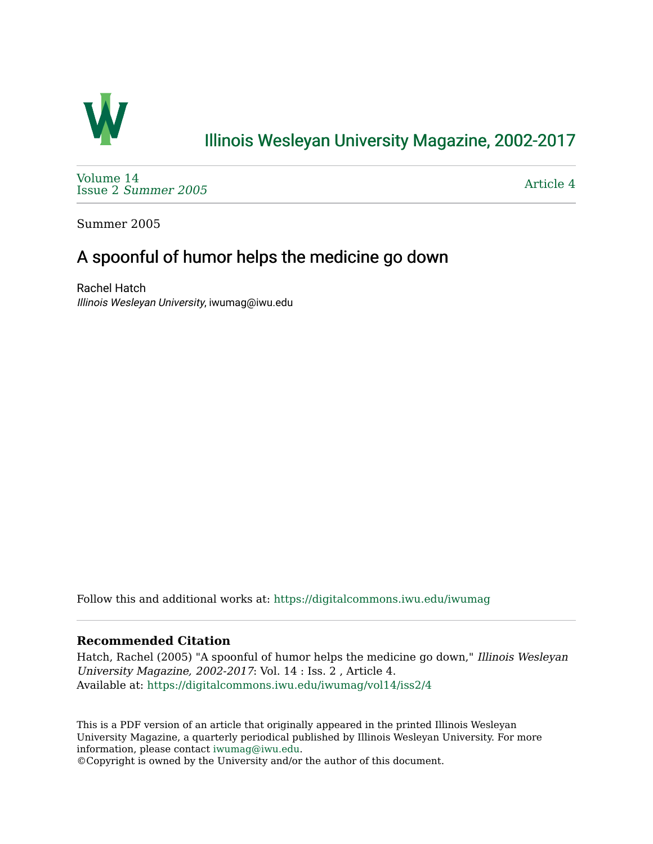

## [Illinois Wesleyan University Magazine, 2002-2017](https://digitalcommons.iwu.edu/iwumag)

[Volume 14](https://digitalcommons.iwu.edu/iwumag/vol14)  Issue 2 [Summer 2005](https://digitalcommons.iwu.edu/iwumag/vol14/iss2) 

[Article 4](https://digitalcommons.iwu.edu/iwumag/vol14/iss2/4) 

Summer 2005

# A spoonful of humor helps the medicine go down

Rachel Hatch Illinois Wesleyan University, iwumag@iwu.edu

Follow this and additional works at: [https://digitalcommons.iwu.edu/iwumag](https://digitalcommons.iwu.edu/iwumag?utm_source=digitalcommons.iwu.edu%2Fiwumag%2Fvol14%2Fiss2%2F4&utm_medium=PDF&utm_campaign=PDFCoverPages) 

#### **Recommended Citation**

Hatch, Rachel (2005) "A spoonful of humor helps the medicine go down," Illinois Wesleyan University Magazine, 2002-2017: Vol. 14 : Iss. 2 , Article 4. Available at: [https://digitalcommons.iwu.edu/iwumag/vol14/iss2/4](https://digitalcommons.iwu.edu/iwumag/vol14/iss2/4?utm_source=digitalcommons.iwu.edu%2Fiwumag%2Fvol14%2Fiss2%2F4&utm_medium=PDF&utm_campaign=PDFCoverPages)

This is a PDF version of an article that originally appeared in the printed Illinois Wesleyan University Magazine, a quarterly periodical published by Illinois Wesleyan University. For more information, please contact [iwumag@iwu.edu](mailto:iwumag@iwu.edu).

©Copyright is owned by the University and/or the author of this document.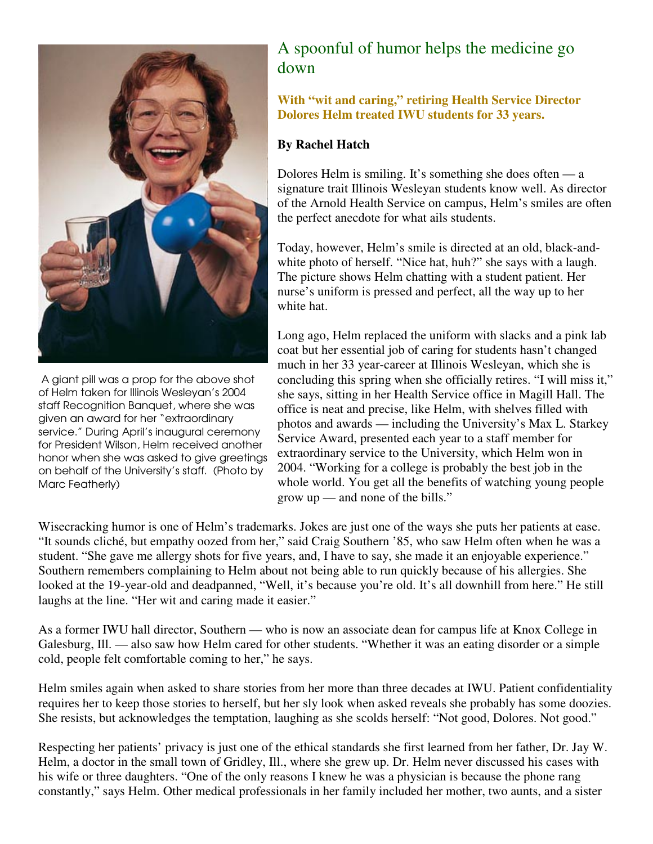

 A giant pill was a prop for the above shot of Helm taken for Illinois Wesleyan's 2004 staff Recognition Banquet, where she was given an award for her "extraordinary service." During April's inaugural ceremony for President Wilson, Helm received another honor when she was asked to give greetings on behalf of the University's staff. (Photo by Marc Featherly)

# A spoonful of humor helps the medicine go down

#### **With "wit and caring," retiring Health Service Director Dolores Helm treated IWU students for 33 years.**

#### **By Rachel Hatch**

Dolores Helm is smiling. It's something she does often — a signature trait Illinois Wesleyan students know well. As director of the Arnold Health Service on campus, Helm's smiles are often the perfect anecdote for what ails students.

Today, however, Helm's smile is directed at an old, black-andwhite photo of herself. "Nice hat, huh?" she says with a laugh. The picture shows Helm chatting with a student patient. Her nurse's uniform is pressed and perfect, all the way up to her white hat.

Long ago, Helm replaced the uniform with slacks and a pink lab coat but her essential job of caring for students hasn't changed much in her 33 year-career at Illinois Wesleyan, which she is concluding this spring when she officially retires. "I will miss it," she says, sitting in her Health Service office in Magill Hall. The office is neat and precise, like Helm, with shelves filled with photos and awards — including the University's Max L. Starkey Service Award, presented each year to a staff member for extraordinary service to the University, which Helm won in 2004. "Working for a college is probably the best job in the whole world. You get all the benefits of watching young people grow up — and none of the bills."

Wisecracking humor is one of Helm's trademarks. Jokes are just one of the ways she puts her patients at ease. "It sounds cliché, but empathy oozed from her," said Craig Southern '85, who saw Helm often when he was a student. "She gave me allergy shots for five years, and, I have to say, she made it an enjoyable experience." Southern remembers complaining to Helm about not being able to run quickly because of his allergies. She looked at the 19-year-old and deadpanned, "Well, it's because you're old. It's all downhill from here." He still laughs at the line. "Her wit and caring made it easier."

As a former IWU hall director, Southern — who is now an associate dean for campus life at Knox College in Galesburg, Ill. — also saw how Helm cared for other students. "Whether it was an eating disorder or a simple cold, people felt comfortable coming to her," he says.

Helm smiles again when asked to share stories from her more than three decades at IWU. Patient confidentiality requires her to keep those stories to herself, but her sly look when asked reveals she probably has some doozies. She resists, but acknowledges the temptation, laughing as she scolds herself: "Not good, Dolores. Not good."

Respecting her patients' privacy is just one of the ethical standards she first learned from her father, Dr. Jay W. Helm, a doctor in the small town of Gridley, Ill., where she grew up. Dr. Helm never discussed his cases with his wife or three daughters. "One of the only reasons I knew he was a physician is because the phone rang constantly," says Helm. Other medical professionals in her family included her mother, two aunts, and a sister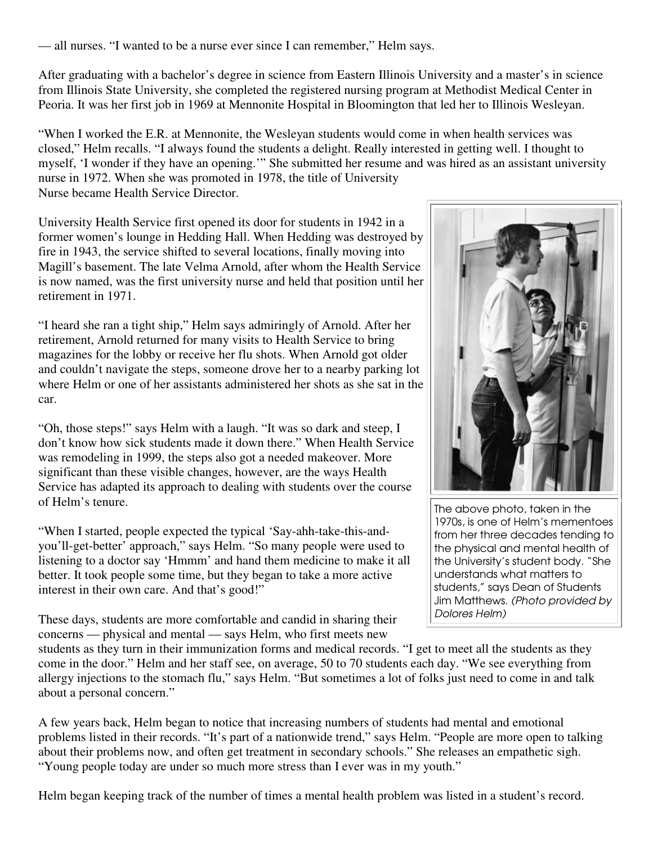— all nurses. "I wanted to be a nurse ever since I can remember," Helm says.

After graduating with a bachelor's degree in science from Eastern Illinois University and a master's in science from Illinois State University, she completed the registered nursing program at Methodist Medical Center in Peoria. It was her first job in 1969 at Mennonite Hospital in Bloomington that led her to Illinois Wesleyan.

"When I worked the E.R. at Mennonite, the Wesleyan students would come in when health services was closed," Helm recalls. "I always found the students a delight. Really interested in getting well. I thought to myself, 'I wonder if they have an opening.'" She submitted her resume and was hired as an assistant university nurse in 1972. When she was promoted in 1978, the title of University Nurse became Health Service Director.

University Health Service first opened its door for students in 1942 in a former women's lounge in Hedding Hall. When Hedding was destroyed by fire in 1943, the service shifted to several locations, finally moving into Magill's basement. The late Velma Arnold, after whom the Health Service is now named, was the first university nurse and held that position until her retirement in 1971.

"I heard she ran a tight ship," Helm says admiringly of Arnold. After her retirement, Arnold returned for many visits to Health Service to bring magazines for the lobby or receive her flu shots. When Arnold got older and couldn't navigate the steps, someone drove her to a nearby parking lot where Helm or one of her assistants administered her shots as she sat in the car.

"Oh, those steps!" says Helm with a laugh. "It was so dark and steep, I don't know how sick students made it down there." When Health Service was remodeling in 1999, the steps also got a needed makeover. More significant than these visible changes, however, are the ways Health Service has adapted its approach to dealing with students over the course of Helm's tenure.

"When I started, people expected the typical 'Say-ahh-take-this-andyou'll-get-better' approach," says Helm. "So many people were used to listening to a doctor say 'Hmmm' and hand them medicine to make it all better. It took people some time, but they began to take a more active interest in their own care. And that's good!"

These days, students are more comfortable and candid in sharing their concerns — physical and mental — says Helm, who first meets new



The above photo, taken in the 1970s, is one of Helm's mementoes from her three decades tending to the physical and mental health of the University's student body. "She understands what matters to students," says Dean of Students Jim Matthews. (Photo provided by Dolores Helm)

students as they turn in their immunization forms and medical records. "I get to meet all the students as they come in the door." Helm and her staff see, on average, 50 to 70 students each day. "We see everything from allergy injections to the stomach flu," says Helm. "But sometimes a lot of folks just need to come in and talk about a personal concern."

A few years back, Helm began to notice that increasing numbers of students had mental and emotional problems listed in their records. "It's part of a nationwide trend," says Helm. "People are more open to talking about their problems now, and often get treatment in secondary schools." She releases an empathetic sigh. "Young people today are under so much more stress than I ever was in my youth."

Helm began keeping track of the number of times a mental health problem was listed in a student's record.